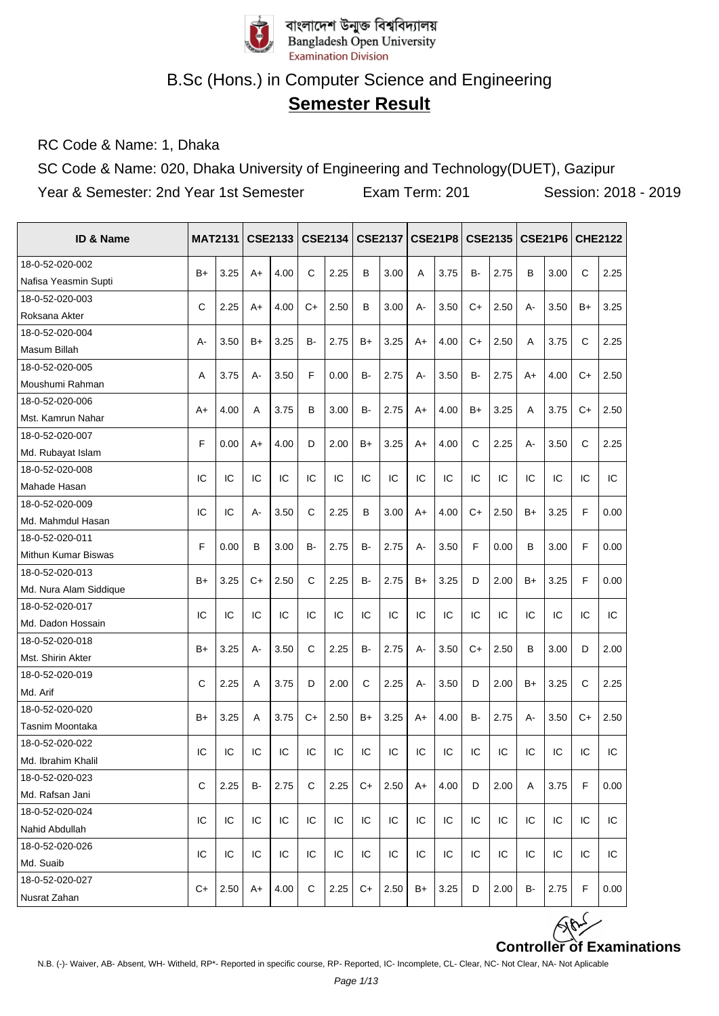

## **Semester Result**

RC Code & Name: 1, Dhaka

SC Code & Name: 020, Dhaka University of Engineering and Technology(DUET), Gazipur Year & Semester: 2nd Year 1st Semester Exam Term: 201 Session: 2018 - 2019

| <b>ID &amp; Name</b>   |              | <b>MAT2131</b> |      | <b>CSE2133</b> |              | <b>CSE2134</b> |           | <b>CSE2137</b> |     | <b>CSE21P8</b> |           | CSE2135 |      | <b>CSE21P6</b> | <b>CHE2122</b> |      |
|------------------------|--------------|----------------|------|----------------|--------------|----------------|-----------|----------------|-----|----------------|-----------|---------|------|----------------|----------------|------|
| 18-0-52-020-002        |              |                |      |                |              |                |           |                |     |                |           |         |      |                |                |      |
| Nafisa Yeasmin Supti   | $B+$         | 3.25           | $A+$ | 4.00           | $\mathsf{C}$ | 2.25           | B         | 3.00           | A   | 3.75           | <b>B-</b> | 2.75    | B    | 3.00           | $\mathsf{C}$   | 2.25 |
| 18-0-52-020-003        |              |                |      |                |              |                |           |                |     |                |           |         |      |                |                |      |
| Roksana Akter          | C            | 2.25           | A+   | 4.00           | $C+$         | 2.50           | B         | 3.00           | А-  | 3.50           | $C+$      | 2.50    | А-   | 3.50           | B+             | 3.25 |
| 18-0-52-020-004        |              |                |      |                |              |                |           |                |     |                |           |         |      |                |                |      |
| Masum Billah           | А-           | 3.50           | B+   | 3.25           | B-           | 2.75           | $B+$      | 3.25           | A+  | 4.00           | $C+$      | 2.50    | Α    | 3.75           | C              | 2.25 |
| 18-0-52-020-005        | A            | 3.75           |      | 3.50           | F            | 0.00           | <b>B-</b> | 2.75           | А-  | 3.50           | <b>B-</b> | 2.75    | $A+$ | 4.00           | $C+$           |      |
| Moushumi Rahman        |              |                | А-   |                |              |                |           |                |     |                |           |         |      |                |                | 2.50 |
| 18-0-52-020-006        |              | 4.00           | A    |                | В            | 3.00           | <b>B-</b> | 2.75           | A+  | 4.00           |           | 3.25    | A    | 3.75           | C+             |      |
| Mst. Kamrun Nahar      | A+           |                |      | 3.75           |              |                |           |                |     |                | $B+$      |         |      |                |                | 2.50 |
| 18-0-52-020-007        | F            | 0.00           | A+   | 4.00           | D            | 2.00           | $B+$      | 3.25           | A+  | 4.00           | C         | 2.25    | A-   | 3.50           | C              | 2.25 |
| Md. Rubayat Islam      |              |                |      |                |              |                |           |                |     |                |           |         |      |                |                |      |
| 18-0-52-020-008        | IC           | IC             | IC   | IC             | IC           | IC             | IC        | IC             | IC  | IC             | IC        | IC      | IC   | IC             | IC             | IC   |
| Mahade Hasan           |              |                |      |                |              |                |           |                |     |                |           |         |      |                |                |      |
| 18-0-52-020-009        | IC           | IC             |      |                | C            | 2.25           |           |                |     |                | $C+$      | 2.50    |      |                | F              |      |
| Md. Mahmdul Hasan      |              |                | A-   | 3.50           |              |                | B         | 3.00           | A+  | 4.00           |           |         | B+   | 3.25           |                | 0.00 |
| 18-0-52-020-011        | F            | 0.00           | B    | 3.00           | B-           | 2.75           | <b>B-</b> | 2.75           | А-  | 3.50           | F         | 0.00    | B    | 3.00           | F              | 0.00 |
| Mithun Kumar Biswas    |              |                |      |                |              |                |           |                |     |                |           |         |      |                |                |      |
| 18-0-52-020-013        | $B+$         | 3.25           | C+   | 2.50           | C            | 2.25           | <b>B-</b> | 2.75           | B+  | 3.25           | D         | 2.00    | $B+$ | 3.25           | F              | 0.00 |
| Md. Nura Alam Siddique |              |                |      |                |              |                |           |                |     |                |           |         |      |                |                |      |
| 18-0-52-020-017        | IC           | IC             | IC   | IC             | IC           | IC             | IC        | IC             | IC  | IC             | IC        | IC      | IC   | IC             | IC             | IC   |
| Md. Dadon Hossain      |              |                |      |                |              |                |           |                |     |                |           |         |      |                |                |      |
| 18-0-52-020-018        | $B+$         | 3.25           | A-   | 3.50           | $\mathsf{C}$ | 2.25           | <b>B-</b> | 2.75           | A-  | 3.50           | $C+$      | 2.50    | B    | 3.00           | D              | 2.00 |
| Mst. Shirin Akter      |              |                |      |                |              |                |           |                |     |                |           |         |      |                |                |      |
| 18-0-52-020-019        | $\mathsf{C}$ | 2.25           | A    | 3.75           | D            | 2.00           | C         | 2.25           | А-  | 3.50           | D         | 2.00    | $B+$ | 3.25           | C              | 2.25 |
| Md. Arif               |              |                |      |                |              |                |           |                |     |                |           |         |      |                |                |      |
| 18-0-52-020-020        | $B+$         | 3.25           | A    | 3.75           | $C+$         | 2.50           | $B+$      | 3.25           | A+  | 4.00           | <b>B-</b> | 2.75    | А-   | 3.50           | $C+$           | 2.50 |
| Tasnim Moontaka        |              |                |      |                |              |                |           |                |     |                |           |         |      |                |                |      |
| 18-0-52-020-022        | IC           | IC             | IC   | IC             | IC           | IC             | IC        | IC             | IC  | IC             | IC        | IC      | IC   | IC             | IC             | IC   |
| Md. Ibrahim Khalil     |              |                |      |                |              |                |           |                |     |                |           |         |      |                |                |      |
| 18-0-52-020-023        | C            | 2.25           | в-   | 2.75           | С            | 2.25           | $C+$      | 2.50           | A+  | 4.00           | D         | 2.00    | Α    | 3.75           | F              | 0.00 |
| Md. Rafsan Jani        |              |                |      |                |              |                |           |                |     |                |           |         |      |                |                |      |
| 18-0-52-020-024        | IC           | IC             | IC   | IC             | IC           | IC             | IC        | IC             | IC. | IC             | IC        | IС      | IC   | IC             | IC             | IC   |
| Nahid Abdullah         |              |                |      |                |              |                |           |                |     |                |           |         |      |                |                |      |
| 18-0-52-020-026        | IC           | IC             | IC   | IC             | IC           | IC             | IC        | IC             | IC  | IC             | IC        | IC      | IC   | IC             | IC             | IC   |
| Md. Suaib              |              |                |      |                |              |                |           |                |     |                |           |         |      |                |                |      |
| 18-0-52-020-027        | C+           | 2.50           | A+   | 4.00           | С            | 2.25           | C+        | 2.50           | B+  | 3.25           | D         | 2.00    | B-   | 2.75           | F              | 0.00 |
| Nusrat Zahan           |              |                |      |                |              |                |           |                |     |                |           |         |      |                |                |      |

**Controller of Examinations**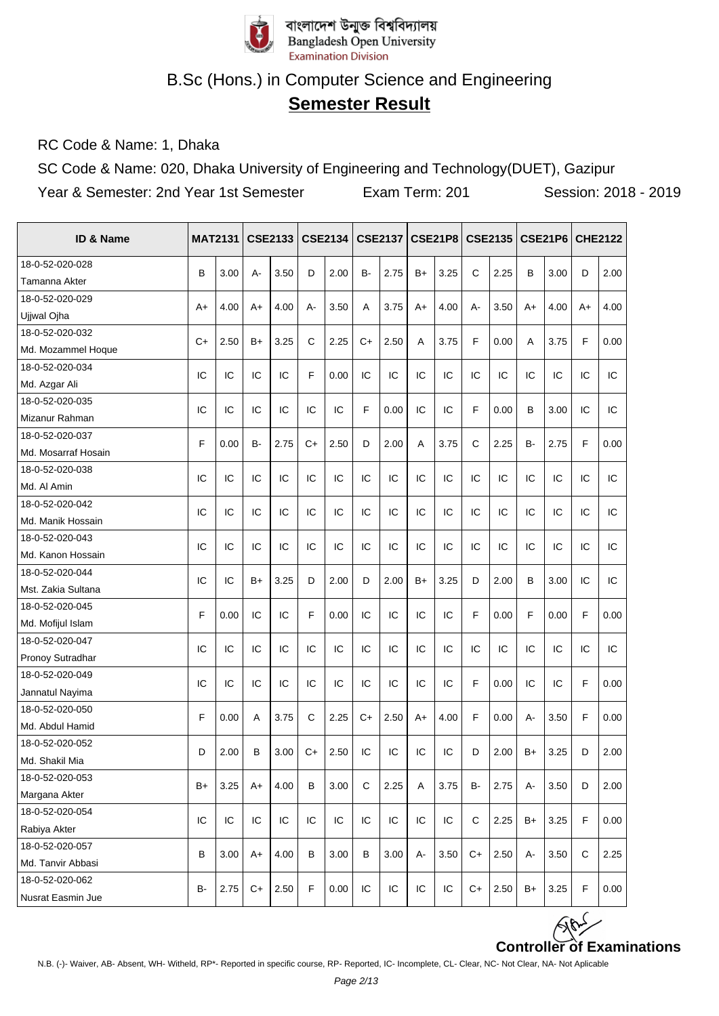

# **Semester Result**

RC Code & Name: 1, Dhaka

SC Code & Name: 020, Dhaka University of Engineering and Technology(DUET), Gazipur Year & Semester: 2nd Year 1st Semester Exam Term: 201 Session: 2018 - 2019

| ID & Name           | <b>MAT2131</b> |      |      | <b>CSE2133</b> |             | <b>CSE2134</b> |             | <b>CSE2137</b> |      | <b>CSE21P8</b> |             | CSE2135 |      | <b>CSE21P6</b> |    | <b>CHE2122</b> |
|---------------------|----------------|------|------|----------------|-------------|----------------|-------------|----------------|------|----------------|-------------|---------|------|----------------|----|----------------|
| 18-0-52-020-028     | B              | 3.00 | A-   | 3.50           | D           | 2.00           | <b>B-</b>   | 2.75           | $B+$ | 3.25           | C           | 2.25    | B    | 3.00           | D  | 2.00           |
| Tamanna Akter       |                |      |      |                |             |                |             |                |      |                |             |         |      |                |    |                |
| 18-0-52-020-029     |                | 4.00 |      | 4.00           |             | 3.50           |             | 3.75           |      | 4.00           |             | 3.50    |      | 4.00           |    | 4.00           |
| Ujiwal Ojha         | A+             |      | A+   |                | А-          |                | A           |                | A+   |                | А-          |         | $A+$ |                | A+ |                |
| 18-0-52-020-032     | $C+$           | 2.50 |      | 3.25           | C           | 2.25           | $C+$        | 2.50           |      | 3.75           | F           | 0.00    |      | 3.75           | F  | 0.00           |
| Md. Mozammel Hoque  |                |      | B+   |                |             |                |             |                | A    |                |             |         | Α    |                |    |                |
| 18-0-52-020-034     | IC             | IC   | IC   | IC             | F           | 0.00           | IC          | IC             | IC   | IC             | IC          | IC      | IC   | IC             | IC | IC             |
| Md. Azgar Ali       |                |      |      |                |             |                |             |                |      |                |             |         |      |                |    |                |
| 18-0-52-020-035     | IC             | IC   | IC   | IC             | IC          | IC             | F           | 0.00           | IC   | IC             | F           | 0.00    | B    | 3.00           | IC | IC             |
| Mizanur Rahman      |                |      |      |                |             |                |             |                |      |                |             |         |      |                |    |                |
| 18-0-52-020-037     | F              | 0.00 | B-   | 2.75           | $C+$        | 2.50           | D           | 2.00           | A    | 3.75           | $\mathsf C$ | 2.25    | B-   | 2.75           | F  | 0.00           |
| Md. Mosarraf Hosain |                |      |      |                |             |                |             |                |      |                |             |         |      |                |    |                |
| 18-0-52-020-038     | IC             | IC   | IC   | IC             | IC          | IC             | IC          | IC             | IC   | IC             | IC          | IC      | IC   | IC             | IC | IC             |
| Md. Al Amin         |                |      |      |                |             |                |             |                |      |                |             |         |      |                |    |                |
| 18-0-52-020-042     | IC             | IC   | IC   | IC             | IC          | IC             | IC          | IC             | IC   | IC             | IC          | IC      | IC   | IC             | IC | IC             |
| Md. Manik Hossain   |                |      |      |                |             |                |             |                |      |                |             |         |      |                |    |                |
| 18-0-52-020-043     | IC             | IC   | IC   | IC             | IC          | IC             | IC          | IC             | IC   | IC             | IC          | IC      | IC   | IC             | IC | IC             |
| Md. Kanon Hossain   |                |      |      |                |             |                |             |                |      |                |             |         |      |                |    |                |
| 18-0-52-020-044     | IC             | IC   | B+   | 3.25           | D           | 2.00           | D           | 2.00           | $B+$ | 3.25           | D           | 2.00    | B    | 3.00           | IC | IC             |
| Mst. Zakia Sultana  |                |      |      |                |             |                |             |                |      |                |             |         |      |                |    |                |
| 18-0-52-020-045     | F              | 0.00 | IC   | IC             | F           | 0.00           | IC          | IC             | IC   | IC             | F           | 0.00    | F    | 0.00           | F  | 0.00           |
| Md. Mofijul Islam   |                |      |      |                |             |                |             |                |      |                |             |         |      |                |    |                |
| 18-0-52-020-047     | IC             | IC   | IC   | IC             | IC          | IC             | IC          | IC             | IC   | IC             | IC          | IC      | IC   | IC             | IC | IC             |
| Pronoy Sutradhar    |                |      |      |                |             |                |             |                |      |                |             |         |      |                |    |                |
| 18-0-52-020-049     | IC             | IC   | IC   | IC             | IC          | IC             | IC          | IC             | IC   | IC             | F           | 0.00    | IC   | IC             | F  | 0.00           |
| Jannatul Nayima     |                |      |      |                |             |                |             |                |      |                |             |         |      |                |    |                |
| 18-0-52-020-050     | F              | 0.00 | A    | 3.75           | $\mathbf C$ | 2.25           | $C+$        | 2.50           | A+   | 4.00           | F           | 0.00    | A-   | 3.50           | F  | 0.00           |
| Md. Abdul Hamid     |                |      |      |                |             |                |             |                |      |                |             |         |      |                |    |                |
| 18-0-52-020-052     | D              | 2.00 | B    | 3.00           | $C+$        | 2.50           | IC          | IC             | IC   | IC             | D           | 2.00    | B+   | 3.25           | D  | 2.00           |
| Md. Shakil Mia      |                |      |      |                |             |                |             |                |      |                |             |         |      |                |    |                |
| 18-0-52-020-053     | $B+$           |      |      | 4.00           | B           | 3.00           | $\mathbf C$ |                | A    | 3.75           | B-          | 2.75    | А-   |                | D  |                |
| Margana Akter       |                | 3.25 | A+   |                |             |                |             | 2.25           |      |                |             |         |      | 3.50           |    | 2.00           |
| 18-0-52-020-054     | IC             | IC   | IC   | IC             | IC          | IC             | IC          | IC             | IC   | IC             | С           | 2.25    | $B+$ | 3.25           | F  | 0.00           |
| Rabiya Akter        |                |      |      |                |             |                |             |                |      |                |             |         |      |                |    |                |
| 18-0-52-020-057     | B              |      |      | 4.00           |             |                |             |                |      |                | $C+$        |         |      |                | C  |                |
| Md. Tanvir Abbasi   |                | 3.00 | A+   |                | В           | 3.00           | В           | 3.00           | А-   | 3.50           |             | 2.50    | А-   | 3.50           |    | 2.25           |
| 18-0-52-020-062     | B-             | 2.75 | $C+$ | 2.50           | F           | 0.00           | IC          | ${\sf IC}$     | IC   | IC             | $C+$        | 2.50    | $B+$ |                | F  | 0.00           |
| Nusrat Easmin Jue   |                |      |      |                |             |                |             |                |      |                |             |         |      | 3.25           |    |                |

**Controller of Examinations**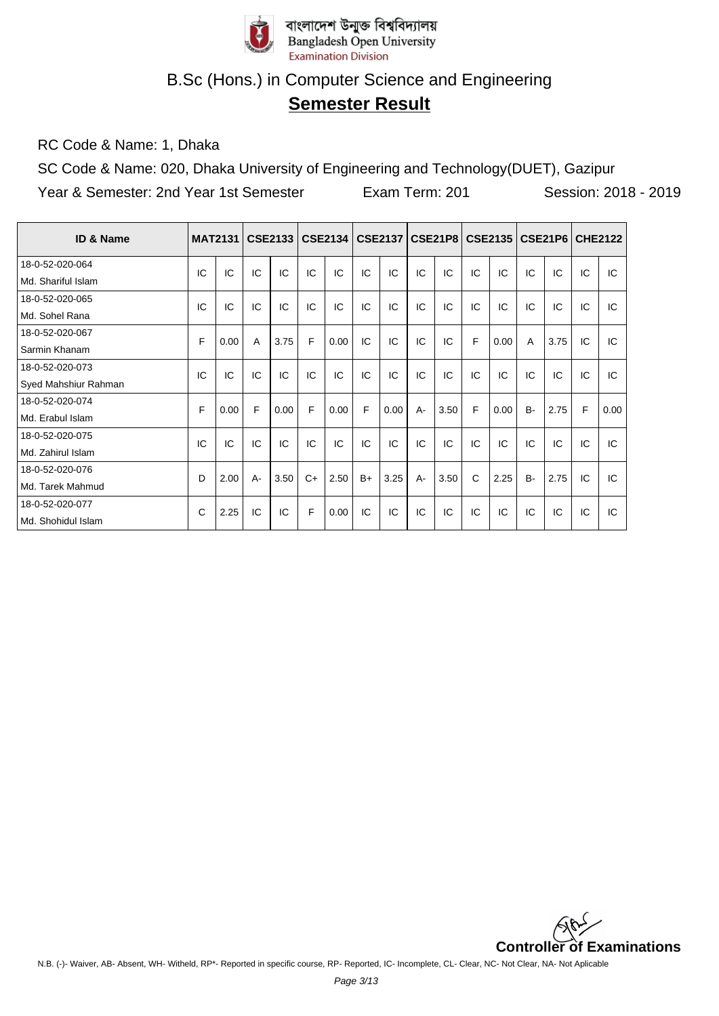

# **Semester Result**

RC Code & Name: 1, Dhaka

SC Code & Name: 020, Dhaka University of Engineering and Technology(DUET), Gazipur Year & Semester: 2nd Year 1st Semester Exam Term: 201 Session: 2018 - 2019

| ID & Name            | <b>MAT2131</b> |      |       | <b>CSE2133</b> |      | <b>CSE2134</b> |      | <b>CSE2137</b> |       | CSE21P8 |    | <b>CSE2135</b> |           | CSE21P6 | <b>CHE2122</b> |      |
|----------------------|----------------|------|-------|----------------|------|----------------|------|----------------|-------|---------|----|----------------|-----------|---------|----------------|------|
| 18-0-52-020-064      | IC             | IC   | IC    | IC             | IC   | IC             | IC   | IC             | IC    | IC      | IC | IC             | IC        | IC      | IC             | IC   |
| Md. Shariful Islam   |                |      |       |                |      |                |      |                |       |         |    |                |           |         |                |      |
| 18-0-52-020-065      | IC             | IC   | IC    | IC             | IC   | IC             | IC   | IC             | IC    | IC      | IC | IC             | IC        | IC      | IC             | IC   |
| Md. Sohel Rana       |                |      |       |                |      |                |      |                |       |         |    |                |           |         |                |      |
| 18-0-52-020-067      | F              | 0.00 | A     | 3.75           | F    | 0.00           | IC   | IC             | IC    | IC      | F  | 0.00           | A         | 3.75    | IC             | IC   |
| Sarmin Khanam        |                |      |       |                |      |                |      |                |       |         |    |                |           |         |                |      |
| 18-0-52-020-073      | IC             | IC   | IC    | IC             | IC   | IC             | IC   | IC             | IC    | IC      | IC | IC             | IC        | IC      | IC             | IC   |
| Syed Mahshiur Rahman |                |      |       |                |      |                |      |                |       |         |    |                |           |         |                |      |
| 18-0-52-020-074      | F              | 0.00 | F     | 0.00           | F    | 0.00           | F    | 0.00           | $A -$ | 3.50    | F  | 0.00           | <b>B-</b> | 2.75    | F              | 0.00 |
| Md. Erabul Islam     |                |      |       |                |      |                |      |                |       |         |    |                |           |         |                |      |
| 18-0-52-020-075      | IC             | IC   | IC    | IC             | IC   | IC             | IC   | IC             | IC    | IC      | IC | IC             | IC        | IC      | IC             | IC   |
| Md. Zahirul Islam    |                |      |       |                |      |                |      |                |       |         |    |                |           |         |                |      |
| 18-0-52-020-076      | D              | 2.00 | $A -$ | 3.50           | $C+$ | 2.50           | $B+$ | 3.25           | $A -$ | 3.50    | C  | 2.25           | <b>B-</b> | 2.75    | IC             | IC   |
| Md. Tarek Mahmud     |                |      |       |                |      |                |      |                |       |         |    |                |           |         |                |      |
| 18-0-52-020-077      | C              | 2.25 | IC    | IC             | F    | 0.00           | IC   | IC             | IC    | IC      | IC | IC             | IC        | IC      | IC             | IC   |
| Md. Shohidul Islam   |                |      |       |                |      |                |      |                |       |         |    |                |           |         |                |      |

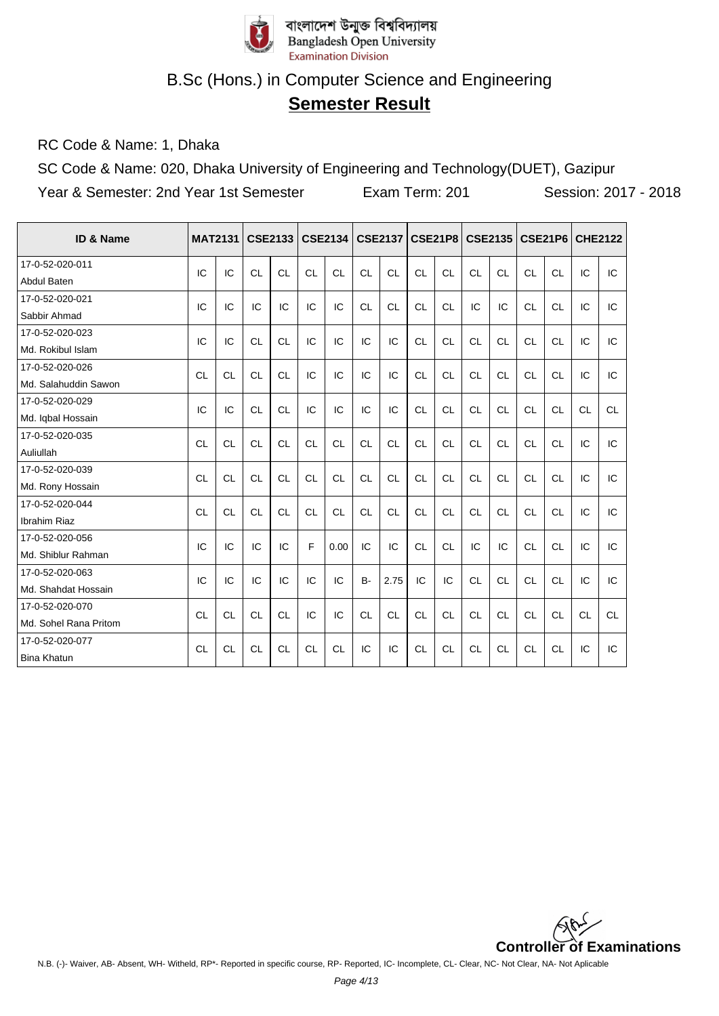

## **Semester Result**

RC Code & Name: 1, Dhaka

SC Code & Name: 020, Dhaka University of Engineering and Technology(DUET), Gazipur Year & Semester: 2nd Year 1st Semester Exam Term: 201 Session: 2017 - 2018

| ID & Name             | <b>MAT2131</b> |           |           | <b>CSE2133</b> |           | <b>CSE2134</b> |           | <b>CSE2137</b> |           | <b>CSE21P8</b> |           | <b>CSE2135</b> |           | <b>CSE21P6</b> | <b>CHE2122</b> |           |
|-----------------------|----------------|-----------|-----------|----------------|-----------|----------------|-----------|----------------|-----------|----------------|-----------|----------------|-----------|----------------|----------------|-----------|
| 17-0-52-020-011       | IC             | IC        | <b>CL</b> | <b>CL</b>      | <b>CL</b> | CL             | CL        | <b>CL</b>      | CL        | <b>CL</b>      | CL        | <b>CL</b>      | CL        | <b>CL</b>      | IC             | IC        |
| <b>Abdul Baten</b>    |                |           |           |                |           |                |           |                |           |                |           |                |           |                |                |           |
| 17-0-52-020-021       | IC             | IC        | IC        | IC             | IC        | IC             | CL        | CL             | <b>CL</b> | CL             | IC        | IC             | CL        | <b>CL</b>      | IC             | IC        |
| Sabbir Ahmad          |                |           |           |                |           |                |           |                |           |                |           |                |           |                |                |           |
| 17-0-52-020-023       | IC             | IC        | <b>CL</b> | <b>CL</b>      | IC        | IC             | IC        | IC             | <b>CL</b> | <b>CL</b>      | <b>CL</b> | <b>CL</b>      | <b>CL</b> | <b>CL</b>      | IC             | IC        |
| Md. Rokibul Islam     |                |           |           |                |           |                |           |                |           |                |           |                |           |                |                |           |
| 17-0-52-020-026       | <b>CL</b>      | <b>CL</b> | <b>CL</b> | <b>CL</b>      | IC        | IC             | IC        | IC             | <b>CL</b> | <b>CL</b>      | <b>CL</b> | <b>CL</b>      | <b>CL</b> | <b>CL</b>      | IC             | IC        |
| Md. Salahuddin Sawon  |                |           |           |                |           |                |           |                |           |                |           |                |           |                |                |           |
| 17-0-52-020-029       | IC             | IC        | <b>CL</b> | <b>CL</b>      | IC        | IC             | IC        | IC             | <b>CL</b> | <b>CL</b>      | <b>CL</b> | <b>CL</b>      | <b>CL</b> | <b>CL</b>      | <b>CL</b>      | <b>CL</b> |
| Md. Iqbal Hossain     |                |           |           |                |           |                |           |                |           |                |           |                |           |                |                |           |
| 17-0-52-020-035       | <b>CL</b>      | <b>CL</b> | <b>CL</b> | <b>CL</b>      | <b>CL</b> | <b>CL</b>      | <b>CL</b> | <b>CL</b>      | <b>CL</b> | <b>CL</b>      | <b>CL</b> | <b>CL</b>      | <b>CL</b> | <b>CL</b>      | IC             | IC        |
| Auliullah             |                |           |           |                |           |                |           |                |           |                |           |                |           |                |                |           |
| 17-0-52-020-039       | <b>CL</b>      | <b>CL</b> | <b>CL</b> | <b>CL</b>      | <b>CL</b> | <b>CL</b>      | <b>CL</b> | <b>CL</b>      | <b>CL</b> | <b>CL</b>      | <b>CL</b> | <b>CL</b>      | <b>CL</b> | <b>CL</b>      | IC             | IC        |
| Md. Rony Hossain      |                |           |           |                |           |                |           |                |           |                |           |                |           |                |                |           |
| 17-0-52-020-044       | <b>CL</b>      | <b>CL</b> | <b>CL</b> | <b>CL</b>      | <b>CL</b> | <b>CL</b>      | <b>CL</b> | <b>CL</b>      | <b>CL</b> | <b>CL</b>      | <b>CL</b> | <b>CL</b>      | <b>CL</b> | <b>CL</b>      | IC             | IC        |
| Ibrahim Riaz          |                |           |           |                |           |                |           |                |           |                |           |                |           |                |                |           |
| 17-0-52-020-056       | IC             | IC        | IC        | IC             | F         | 0.00           | IC        | IC             | CL        | CL             | IC        | IC             | <b>CL</b> | <b>CL</b>      | IC             | IC        |
| Md. Shiblur Rahman    |                |           |           |                |           |                |           |                |           |                |           |                |           |                |                |           |
| 17-0-52-020-063       | IC             | IC        | IC        | IC             | IC        | IC             | $B -$     | 2.75           | IC        | IC             | <b>CL</b> | <b>CL</b>      | CL        | <b>CL</b>      | IC             | IC        |
| Md. Shahdat Hossain   |                |           |           |                |           |                |           |                |           |                |           |                |           |                |                |           |
| 17-0-52-020-070       | CL             | <b>CL</b> | CL        | CL             | IC        | IC             | CL        | <b>CL</b>      | CL        | CL             | <b>CL</b> | CL             | CL        | <b>CL</b>      | CL             | CL        |
| Md. Sohel Rana Pritom |                |           |           |                |           |                |           |                |           |                |           |                |           |                |                |           |
| 17-0-52-020-077       | <b>CL</b>      | <b>CL</b> | <b>CL</b> | <b>CL</b>      | <b>CL</b> | <b>CL</b>      | IC        | IC             | <b>CL</b> | <b>CL</b>      | <b>CL</b> | <b>CL</b>      | <b>CL</b> | <b>CL</b>      | IC             | IC        |
| <b>Bina Khatun</b>    |                |           |           |                |           |                |           |                |           |                |           |                |           |                |                |           |

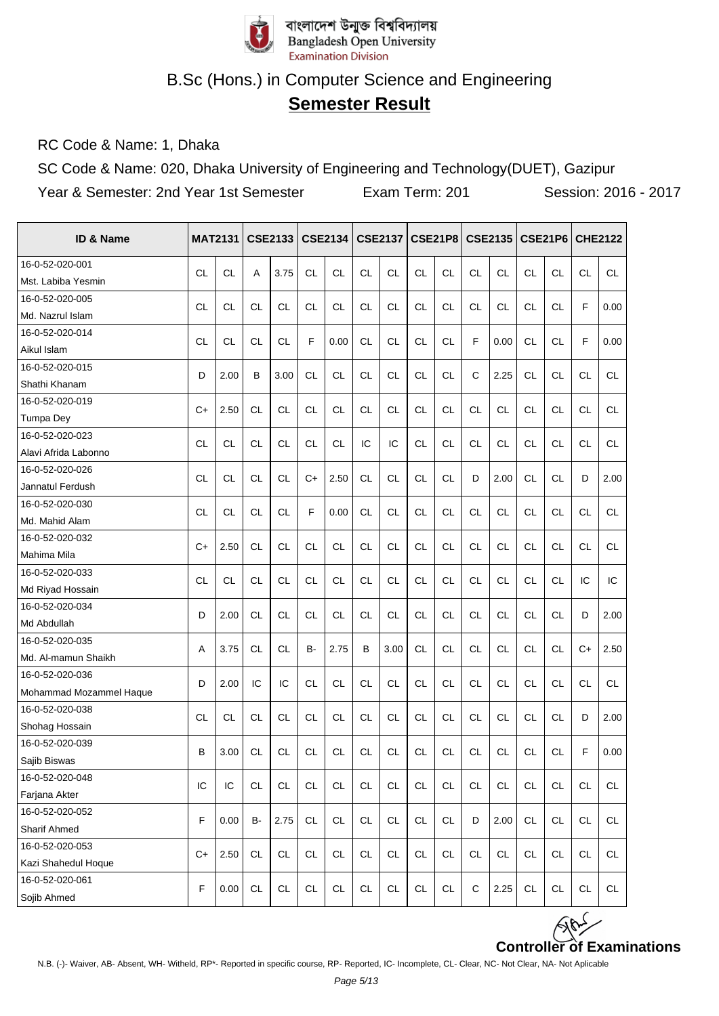

## **Semester Result**

RC Code & Name: 1, Dhaka

SC Code & Name: 020, Dhaka University of Engineering and Technology(DUET), Gazipur

Year & Semester: 2nd Year 1st Semester Exam Term: 201 Session: 2016 - 2017

| <b>ID &amp; Name</b>    | <b>MAT2131</b> |           |           | <b>CSE2133</b> |               | <b>CSE2134</b> |           | <b>CSE2137</b> |           |               |              | CSE21P8   CSE2135 | <b>CSE21P6</b> |           | <b>CHE2122</b> |           |
|-------------------------|----------------|-----------|-----------|----------------|---------------|----------------|-----------|----------------|-----------|---------------|--------------|-------------------|----------------|-----------|----------------|-----------|
| 16-0-52-020-001         |                |           |           |                |               |                |           |                |           |               |              |                   |                |           |                |           |
| Mst. Labiba Yesmin      | <b>CL</b>      | <b>CL</b> | A         | 3.75           | <b>CL</b>     | CL             | <b>CL</b> | <b>CL</b>      | <b>CL</b> | <b>CL</b>     | <b>CL</b>    | CL                | <b>CL</b>      | <b>CL</b> | <b>CL</b>      | <b>CL</b> |
| 16-0-52-020-005         |                |           |           |                |               |                |           |                |           |               |              |                   |                |           |                |           |
| Md. Nazrul Islam        | <b>CL</b>      | CL        | <b>CL</b> | <b>CL</b>      | CL            | <b>CL</b>      | <b>CL</b> | <b>CL</b>      | <b>CL</b> | <b>CL</b>     | <b>CL</b>    | <b>CL</b>         | <b>CL</b>      | <b>CL</b> | F              | 0.00      |
| 16-0-52-020-014         |                |           |           |                | F             |                |           |                |           |               | F            |                   |                |           | F              |           |
| Aikul Islam             | <b>CL</b>      | <b>CL</b> | <b>CL</b> | <b>CL</b>      |               | 0.00           | <b>CL</b> | <b>CL</b>      | <b>CL</b> | <b>CL</b>     |              | 0.00              | <b>CL</b>      | <b>CL</b> |                | 0.00      |
| 16-0-52-020-015         | D              | 2.00      | B         | 3.00           | <b>CL</b>     | CL             | <b>CL</b> | <b>CL</b>      | <b>CL</b> | <b>CL</b>     | $\mathsf{C}$ | 2.25              | <b>CL</b>      | <b>CL</b> | <b>CL</b>      | <b>CL</b> |
| Shathi Khanam           |                |           |           |                |               |                |           |                |           |               |              |                   |                |           |                |           |
| 16-0-52-020-019         | $C+$           | 2.50      | <b>CL</b> | <b>CL</b>      | <b>CL</b>     | <b>CL</b>      | <b>CL</b> | CL             | <b>CL</b> | <b>CL</b>     | <b>CL</b>    | <b>CL</b>         | <b>CL</b>      | <b>CL</b> | <b>CL</b>      | <b>CL</b> |
| Tumpa Dey               |                |           |           |                |               |                |           |                |           |               |              |                   |                |           |                |           |
| 16-0-52-020-023         | <b>CL</b>      | <b>CL</b> | <b>CL</b> | <b>CL</b>      | CL            | <b>CL</b>      | IC        | IC             | <b>CL</b> | <b>CL</b>     | <b>CL</b>    | <b>CL</b>         | <b>CL</b>      | <b>CL</b> | <b>CL</b>      | <b>CL</b> |
| Alavi Afrida Labonno    |                |           |           |                |               |                |           |                |           |               |              |                   |                |           |                |           |
| 16-0-52-020-026         | <b>CL</b>      | CL        | <b>CL</b> | <b>CL</b>      | $C+$          | 2.50           | <b>CL</b> | <b>CL</b>      | <b>CL</b> | <b>CL</b>     | D            | 2.00              | <b>CL</b>      | <b>CL</b> | D              | 2.00      |
| Jannatul Ferdush        |                |           |           |                |               |                |           |                |           |               |              |                   |                |           |                |           |
| 16-0-52-020-030         | <b>CL</b>      | <b>CL</b> | <b>CL</b> | <b>CL</b>      | F             | 0.00           | <b>CL</b> | <b>CL</b>      | <b>CL</b> | <b>CL</b>     | <b>CL</b>    | CL                | <b>CL</b>      | <b>CL</b> | <b>CL</b>      | <b>CL</b> |
| Md. Mahid Alam          |                |           |           |                |               |                |           |                |           |               |              |                   |                |           |                |           |
| 16-0-52-020-032         | $C+$           | 2.50      | <b>CL</b> | <b>CL</b>      | <b>CL</b>     | <b>CL</b>      | <b>CL</b> | <b>CL</b>      | <b>CL</b> | <b>CL</b>     | CL           | <b>CL</b>         | <b>CL</b>      | <b>CL</b> | <b>CL</b>      | <b>CL</b> |
| Mahima Mila             |                |           |           |                |               |                |           |                |           |               |              |                   |                |           |                |           |
| 16-0-52-020-033         | <b>CL</b>      | <b>CL</b> | <b>CL</b> | <b>CL</b>      | <b>CL</b>     | <b>CL</b>      | <b>CL</b> | <b>CL</b>      | <b>CL</b> | <b>CL</b>     | CL           | <b>CL</b>         | <b>CL</b>      | <b>CL</b> | IC             | IC        |
| Md Riyad Hossain        |                |           |           |                |               |                |           |                |           |               |              |                   |                |           |                |           |
| 16-0-52-020-034         | D              | 2.00      | CL        | <b>CL</b>      | CL            | <b>CL</b>      | <b>CL</b> | <b>CL</b>      | <b>CL</b> | <b>CL</b>     | CL           | <b>CL</b>         | <b>CL</b>      | <b>CL</b> | D              | 2.00      |
| Md Abdullah             |                |           |           |                |               |                |           |                |           |               |              |                   |                |           |                |           |
| 16-0-52-020-035         | Α              | 3.75      | СL        | <b>CL</b>      | B-            | 2.75           | B         | 3.00           | <b>CL</b> | <b>CL</b>     | <b>CL</b>    | CL                | <b>CL</b>      | <b>CL</b> | $C+$           | 2.50      |
| Md. Al-mamun Shaikh     |                |           |           |                |               |                |           |                |           |               |              |                   |                |           |                |           |
| 16-0-52-020-036         | D              | 2.00      | IC        | IC             | <b>CL</b>     | <b>CL</b>      | <b>CL</b> | <b>CL</b>      | <b>CL</b> | <b>CL</b>     | <b>CL</b>    | <b>CL</b>         | <b>CL</b>      | <b>CL</b> | СL             | <b>CL</b> |
| Mohammad Mozammel Haque |                |           |           |                |               |                |           |                |           |               |              |                   |                |           |                |           |
| 16-0-52-020-038         | <b>CL</b>      | <b>CL</b> | <b>CL</b> | <b>CL</b>      | <b>CL</b>     | <b>CL</b>      | <b>CL</b> | <b>CL</b>      | <b>CL</b> | <b>CL</b>     | <b>CL</b>    | <b>CL</b>         | <b>CL</b>      | <b>CL</b> | D              | 2.00      |
| Shohag Hossain          |                |           |           |                |               |                |           |                |           |               |              |                   |                |           |                |           |
| 16-0-52-020-039         | B              | 3.00      | <b>CL</b> | <b>CL</b>      | <b>CL</b>     | CL             | <b>CL</b> | <b>CL</b>      | <b>CL</b> | <b>CL</b>     | <b>CL</b>    | CL                | <b>CL</b>      | <b>CL</b> | F              | 0.00      |
| Sajib Biswas            |                |           |           |                |               |                |           |                |           |               |              |                   |                |           |                |           |
| 16-0-52-020-048         | IC             | IC        | <b>CL</b> | <b>CL</b>      | <b>CL</b>     | <b>CL</b>      | <b>CL</b> | <b>CL</b>      | <b>CL</b> | <b>CL</b>     | <b>CL</b>    | <b>CL</b>         | <b>CL</b>      | <b>CL</b> | <b>CL</b>      | <b>CL</b> |
| Farjana Akter           |                |           |           |                |               |                |           |                |           |               |              |                   |                |           |                |           |
| 16-0-52-020-052         | F              | 0.00      | в-        | 2.75           | <b>CL</b>     | <b>CL</b>      | CL        | <b>CL</b>      | <b>CL</b> | <b>CL</b>     | D            | 2.00              | CL             | <b>CL</b> | <b>CL</b>      | <b>CL</b> |
| <b>Sharif Ahmed</b>     |                |           |           |                |               |                |           |                |           |               |              |                   |                |           |                |           |
| 16-0-52-020-053         | $C+$           | 2.50      | <b>CL</b> | CL             | $\mathsf{CL}$ | <b>CL</b>      | CL        | $\mathsf{CL}$  | <b>CL</b> | $\mathsf{CL}$ | <b>CL</b>    | <b>CL</b>         | $\mathsf{CL}$  | CL        | <b>CL</b>      | CL        |
| Kazi Shahedul Hoque     |                |           |           |                |               |                |           |                |           |               |              |                   |                |           |                |           |
| 16-0-52-020-061         | $\mathsf F$    | 0.00      | <b>CL</b> | $\mathsf{CL}$  | <b>CL</b>     | CL             | CL        | CL             | <b>CL</b> | CL            | $\mathsf C$  | 2.25              | <b>CL</b>      | <b>CL</b> | <b>CL</b>      | <b>CL</b> |
| Sojib Ahmed             |                |           |           |                |               |                |           |                |           |               |              |                   |                |           |                |           |

**Controller of Examinations**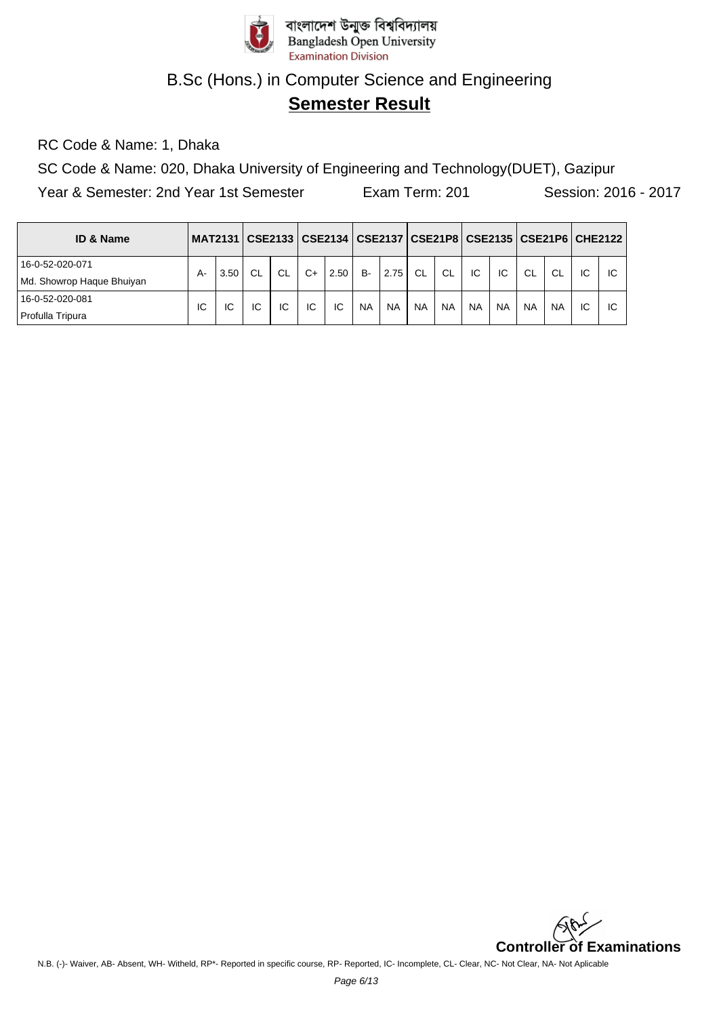

## **Semester Result**

RC Code & Name: 1, Dhaka

SC Code & Name: 020, Dhaka University of Engineering and Technology(DUET), Gazipur

Year & Semester: 2nd Year 1st Semester Exam Term: 201 Session: 2016 - 2017

| <b>ID &amp; Name</b>      |    |      |           |           |      |      |           |           |           |           |           |           |               |           |    | MAT2131   CSE2133   CSE2134   CSE2137   CSE21P8   CSE2135   CSE21P6   CHE2122 |
|---------------------------|----|------|-----------|-----------|------|------|-----------|-----------|-----------|-----------|-----------|-----------|---------------|-----------|----|-------------------------------------------------------------------------------|
| 16-0-52-020-071           | А- | 3.50 | <b>CL</b> | <b>CL</b> | $C+$ | 2.50 | <b>B-</b> | 2.75      | CL        | -CL       | IC        | IC        | <sub>CL</sub> | CL        | IC | ΙC                                                                            |
| Md. Showrop Haque Bhuiyan |    |      |           |           |      |      |           |           |           |           |           |           |               |           |    |                                                                               |
| 16-0-52-020-081           | IC | IC   | IC        | IC        | IC   | IC   | <b>NA</b> | <b>NA</b> | <b>NA</b> | <b>NA</b> | <b>NA</b> | <b>NA</b> | <b>NA</b>     | <b>NA</b> | IC | ΙC                                                                            |
| Profulla Tripura          |    |      |           |           |      |      |           |           |           |           |           |           |               |           |    |                                                                               |

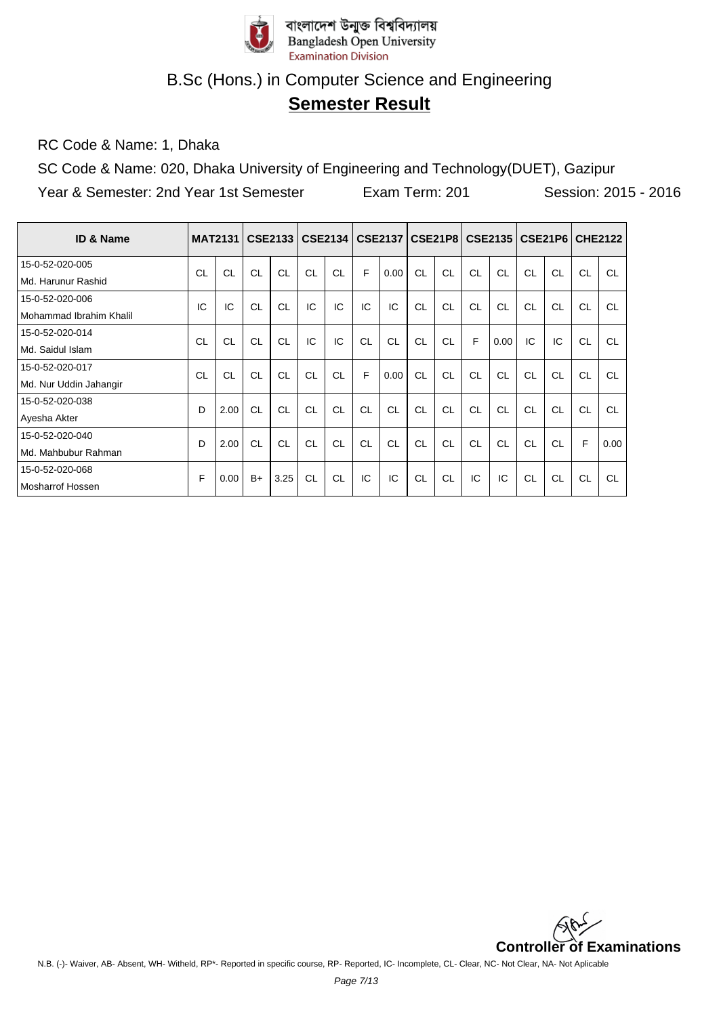

# **Semester Result**

RC Code & Name: 1, Dhaka

SC Code & Name: 020, Dhaka University of Engineering and Technology(DUET), Gazipur Year & Semester: 2nd Year 1st Semester Exam Term: 201 Session: 2015 - 2016

| <b>ID &amp; Name</b>    | <b>MAT2131</b> |           |           | <b>CSE2133</b> |           | CSE2134 |    | <b>CSE2137</b> |     |    |    | CSE21P8   CSE2135 |           | CSE21P6   |           | <b>CHE2122</b> |
|-------------------------|----------------|-----------|-----------|----------------|-----------|---------|----|----------------|-----|----|----|-------------------|-----------|-----------|-----------|----------------|
| 15-0-52-020-005         | CL             | CL        | <b>CL</b> | CL             | CL        | CL      | E  | 0.00           | CL  | CL | CL | CI.               | CL        | CL        | <b>CL</b> | CL             |
| Md. Harunur Rashid      |                |           |           |                |           |         |    |                |     |    |    |                   |           |           |           |                |
| 15-0-52-020-006         | IC             | IC        | <b>CL</b> | <b>CL</b>      | IC        | IC      | IC | IC             | CL  | CL | CL | CL                | CL        | <b>CL</b> | CL        | <b>CL</b>      |
| Mohammad Ibrahim Khalil |                |           |           |                |           |         |    |                |     |    |    |                   |           |           |           |                |
| 15-0-52-020-014         | CL             | <b>CL</b> | <b>CL</b> | CL             | IC        | IC      | CL | CL             | CL  | CL | F  | 0.00              | IC        | IC        | CL        | <b>CL</b>      |
| Md. Saidul Islam        |                |           |           |                |           |         |    |                |     |    |    |                   |           |           |           |                |
| 15-0-52-020-017         | CL             | CL        | <b>CL</b> | <b>CL</b>      | CL        | CL      | F  | 0.00           | CL  | CL | CL | CL                | CL        | <b>CL</b> | CL        | <b>CL</b>      |
| Md. Nur Uddin Jahangir  |                |           |           |                |           |         |    |                |     |    |    |                   |           |           |           |                |
| 15-0-52-020-038         | D              | 2.00      | <b>CL</b> | CL             | CL        | CL      | CL | CL             | CI. | CL | CL | CI.               | CL        | CL        | CL        | <b>CL</b>      |
| Ayesha Akter            |                |           |           |                |           |         |    |                |     |    |    |                   |           |           |           |                |
| 15-0-52-020-040         | D              | 2.00      | <b>CL</b> | <b>CL</b>      | CL        | CL      | CL | CL             | CL  | CL | CL | CL                | <b>CL</b> | <b>CL</b> | F         | 0.00           |
| Md. Mahbubur Rahman     |                |           |           |                |           |         |    |                |     |    |    |                   |           |           |           |                |
| 15-0-52-020-068         | F              | 0.00      | $B+$      | 3.25           | <b>CL</b> | CL      | IC | IC             | CL  | CL | IC | IC                | CL        | <b>CL</b> | CL        | <b>CL</b>      |
| Mosharrof Hossen        |                |           |           |                |           |         |    |                |     |    |    |                   |           |           |           |                |

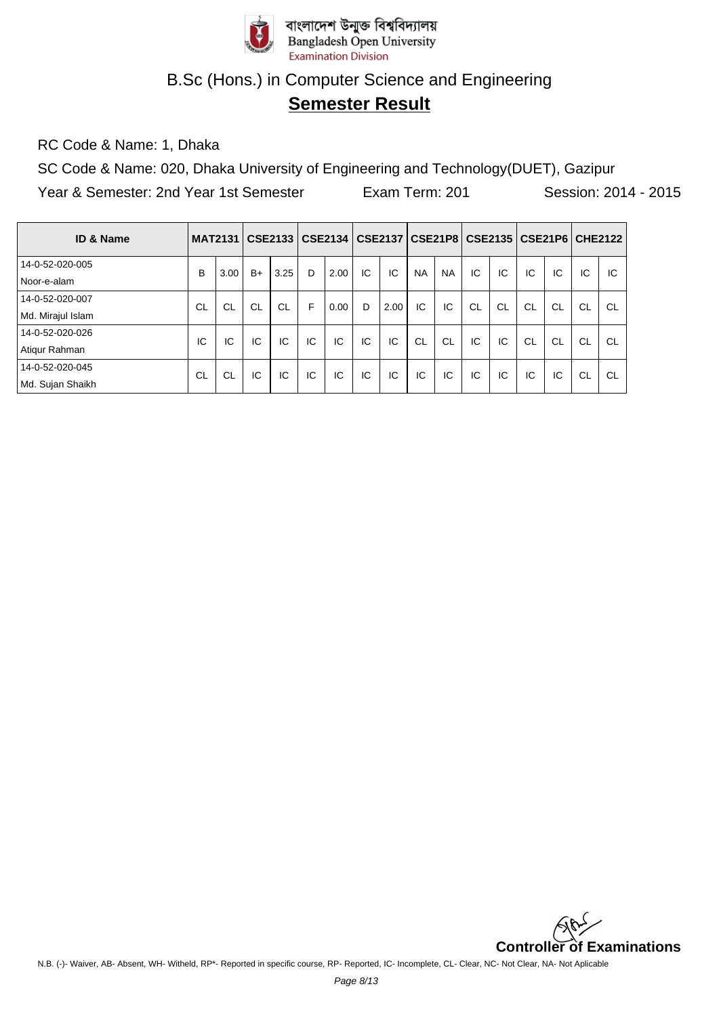

# **Semester Result**

RC Code & Name: 1, Dhaka

SC Code & Name: 020, Dhaka University of Engineering and Technology(DUET), Gazipur Year & Semester: 2nd Year 1st Semester Exam Term: 201 Session: 2014 - 2015

| ID & Name         | <b>MAT2131</b> |           |           | <b>CSE2133</b> |    | CSE2134 |    | CSE2137   CSE21P8   CSE2135 |           |           |           |           |           |           |           | <b>CSE21P6 CHE2122</b> |
|-------------------|----------------|-----------|-----------|----------------|----|---------|----|-----------------------------|-----------|-----------|-----------|-----------|-----------|-----------|-----------|------------------------|
| 14-0-52-020-005   | B              | 3.00      | $B+$      | 3.25           | D  | 2.00    | IC | IC                          | NA.       | <b>NA</b> | IC        | IC        | IC        | IC        | IC        | IC                     |
| Noor-e-alam       |                |           |           |                |    |         |    |                             |           |           |           |           |           |           |           |                        |
| 14-0-52-020-007   | CL             | <b>CL</b> | <b>CL</b> | <b>CL</b>      | F  | 0.00    | D  | 2.00                        | IC        | IC        | <b>CL</b> | <b>CL</b> | <b>CL</b> | <b>CL</b> | <b>CL</b> | <b>CL</b>              |
| Md. Mirajul Islam |                |           |           |                |    |         |    |                             |           |           |           |           |           |           |           |                        |
| 14-0-52-020-026   | IC             | IC        | IC        | IC             | IC | IC      | IC | IC                          | <b>CL</b> | <b>CL</b> | IC        | IC        | <b>CL</b> | <b>CL</b> | <b>CL</b> | <b>CL</b>              |
| Atiqur Rahman     |                |           |           |                |    |         |    |                             |           |           |           |           |           |           |           |                        |
| 14-0-52-020-045   | CL             | CL        | IC        | IC             | IC | IC      | IC | IC                          | IC        | IC        | IC        | IC        | IC        | IC        | <b>CL</b> | <b>CL</b>              |
| Md. Sujan Shaikh  |                |           |           |                |    |         |    |                             |           |           |           |           |           |           |           |                        |

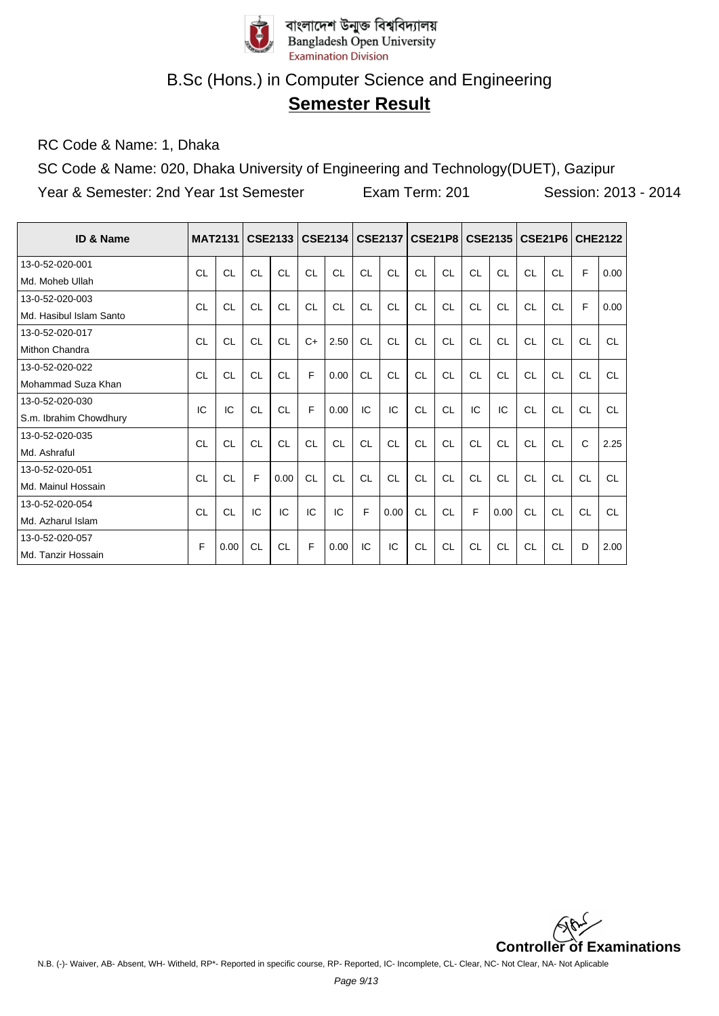

# **Semester Result**

RC Code & Name: 1, Dhaka

SC Code & Name: 020, Dhaka University of Engineering and Technology(DUET), Gazipur Year & Semester: 2nd Year 1st Semester Exam Term: 201 Session: 2013 - 2014

| ID & Name               | <b>MAT2131</b> |           |    | <b>CSE2133</b> |           | <b>CSE2134</b> |           | <b>CSE2137</b> |           |           |           | CSE21P8   CSE2135   CSE21P6 |           |           | <b>CHE2122</b> |           |
|-------------------------|----------------|-----------|----|----------------|-----------|----------------|-----------|----------------|-----------|-----------|-----------|-----------------------------|-----------|-----------|----------------|-----------|
| 13-0-52-020-001         | CL             | CL        | CL | CL             | <b>CL</b> | CL             | CL        | CL             | CL        | CL        | CL        | CL                          | CL        | CL        | F              | 0.00      |
| Md. Moheb Ullah         |                |           |    |                |           |                |           |                |           |           |           |                             |           |           |                |           |
| 13-0-52-020-003         | <b>CL</b>      | CL        | CL | CL             | <b>CL</b> | CL             | CL        | CL             | CL        | CL        | CL        | CL                          | <b>CL</b> | <b>CL</b> | F              | 0.00      |
| Md. Hasibul Islam Santo |                |           |    |                |           |                |           |                |           |           |           |                             |           |           |                |           |
| 13-0-52-020-017         | <b>CL</b>      | CL        | CL | <b>CL</b>      | $C+$      | 2.50           | <b>CL</b> | CL             | CL        | <b>CL</b> | CL        | CL                          | CL        | CL        | <b>CL</b>      | <b>CL</b> |
| Mithon Chandra          |                |           |    |                |           |                |           |                |           |           |           |                             |           |           |                |           |
| 13-0-52-020-022         | CL             | <b>CL</b> | CL | <b>CL</b>      | F         | 0.00           | <b>CL</b> | CL             | CL        | <b>CL</b> | CL        | CL                          | <b>CL</b> | CL        | CL             | <b>CL</b> |
| Mohammad Suza Khan      |                |           |    |                |           |                |           |                |           |           |           |                             |           |           |                |           |
| 13-0-52-020-030         | IC             | IC        | CL | CL             | F         | 0.00           | IC        | IC             | CL        | CL        | IC        | IC                          | CL        | CL        | CL             | CL        |
| S.m. Ibrahim Chowdhury  |                |           |    |                |           |                |           |                |           |           |           |                             |           |           |                |           |
| 13-0-52-020-035         | CL             | <b>CL</b> | CL | <b>CL</b>      | CL        | CL             | <b>CL</b> | <b>CL</b>      | CL        | <b>CL</b> | CL        | CL                          | <b>CL</b> | <b>CL</b> | $\mathsf{C}$   | 2.25      |
| Md. Ashraful            |                |           |    |                |           |                |           |                |           |           |           |                             |           |           |                |           |
| 13-0-52-020-051         | CL             | CL        | E  | 0.00           | <b>CL</b> | CL             | <b>CL</b> | <b>CL</b>      | <b>CL</b> | <b>CL</b> | <b>CL</b> | CL                          | <b>CL</b> | CL        | CL             | <b>CL</b> |
| Md. Mainul Hossain      |                |           |    |                |           |                |           |                |           |           |           |                             |           |           |                |           |
| 13-0-52-020-054         | <b>CL</b>      | CL        | IC | IC             | IC        | IC             | F         | 0.00           | CL        | CL        | F         | 0.00                        | CL        | CL        | <b>CL</b>      | CL        |
| Md. Azharul Islam       |                |           |    |                |           |                |           |                |           |           |           |                             |           |           |                |           |
| 13-0-52-020-057         | F              | 0.00      | CL | <b>CL</b>      | F         | 0.00           | IC        | IC             | <b>CL</b> | <b>CL</b> | <b>CL</b> | <b>CL</b>                   | <b>CL</b> | <b>CL</b> | D              | 2.00      |
| Md. Tanzir Hossain      |                |           |    |                |           |                |           |                |           |           |           |                             |           |           |                |           |

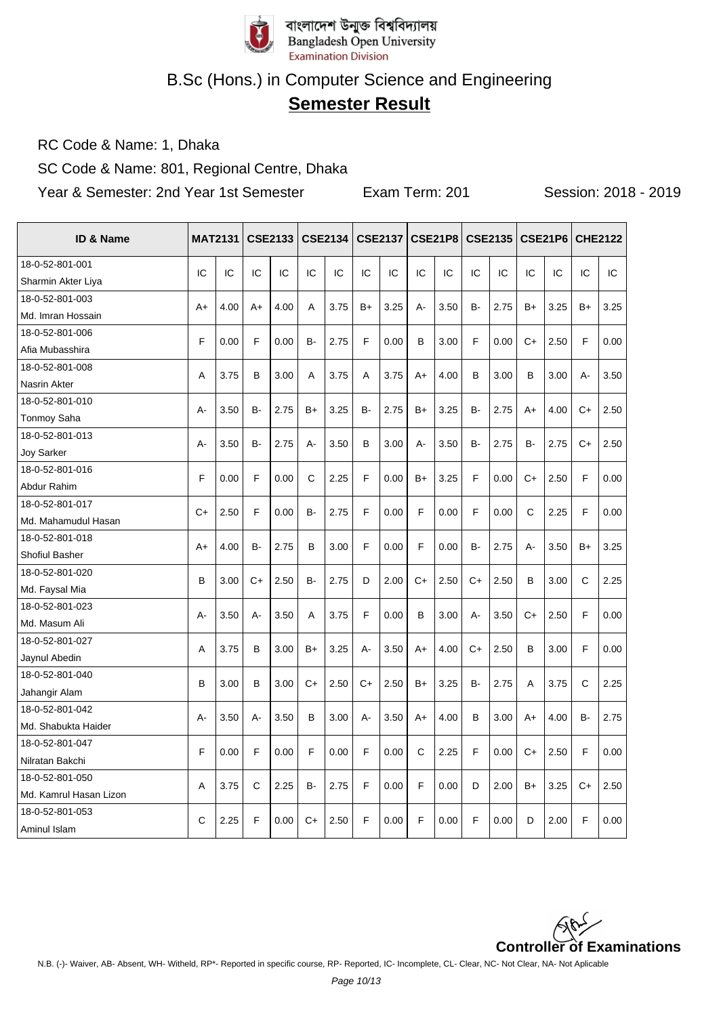

# **Semester Result**

RC Code & Name: 1, Dhaka

SC Code & Name: 801, Regional Centre, Dhaka

Year & Semester: 2nd Year 1st Semester Exam Term: 201 Session: 2018 - 2019

| <b>ID &amp; Name</b>   |              | <b>MAT2131</b> |           | <b>CSE2133</b> |           | CSE2134 |       | <b>CSE2137</b> |       | <b>CSE21P8</b> |           | <b>CSE2135 CSE21P6</b> |           |      |      | <b>CHE2122</b> |
|------------------------|--------------|----------------|-----------|----------------|-----------|---------|-------|----------------|-------|----------------|-----------|------------------------|-----------|------|------|----------------|
| 18-0-52-801-001        | IC           | IC             | IC        | IC             | IC        | IC      | IC    | IC             | IC    | IC             | IC        | IC                     | IC        | IC   | IC   | IC             |
| Sharmin Akter Liya     |              |                |           |                |           |         |       |                |       |                |           |                        |           |      |      |                |
| 18-0-52-801-003        | $A+$         | 4.00           | A+        | 4.00           | A         | 3.75    | $B+$  | 3.25           | $A -$ | 3.50           | <b>B-</b> | 2.75                   | $B+$      | 3.25 | B+   | 3.25           |
| Md. Imran Hossain      |              |                |           |                |           |         |       |                |       |                |           |                        |           |      |      |                |
| 18-0-52-801-006        | F            | 0.00           | F         | 0.00           | B-        | 2.75    | F     | 0.00           | B     | 3.00           | F         | 0.00                   | $C+$      | 2.50 | F    | 0.00           |
| Afia Mubasshira        |              |                |           |                |           |         |       |                |       |                |           |                        |           |      |      |                |
| 18-0-52-801-008        | A            | 3.75           | B         | 3.00           | A         | 3.75    | A     | 3.75           | A+    | 4.00           | В         | 3.00                   | B         | 3.00 | А-   | 3.50           |
| Nasrin Akter           |              |                |           |                |           |         |       |                |       |                |           |                        |           |      |      |                |
| 18-0-52-801-010        | A-           | 3.50           | B-        | 2.75           | $B+$      | 3.25    | B-    | 2.75           | B+    | 3.25           | B-        | 2.75                   | $A+$      | 4.00 | $C+$ | 2.50           |
| <b>Tonmoy Saha</b>     |              |                |           |                |           |         |       |                |       |                |           |                        |           |      |      |                |
| 18-0-52-801-013        | $A -$        | 3.50           | <b>B-</b> | 2.75           | $A -$     | 3.50    | B     | 3.00           | A-    | 3.50           | B-        | 2.75                   | <b>B-</b> | 2.75 | $C+$ | 2.50           |
| <b>Joy Sarker</b>      |              |                |           |                |           |         |       |                |       |                |           |                        |           |      |      |                |
| 18-0-52-801-016        | F            | 0.00           | F         | 0.00           | C         | 2.25    | F     | 0.00           | $B+$  | 3.25           | F         | 0.00                   | $C+$      | 2.50 | F    | 0.00           |
| Abdur Rahim            |              |                |           |                |           |         |       |                |       |                |           |                        |           |      |      |                |
| 18-0-52-801-017        | $C+$         | 2.50           | F         | 0.00           | B-        | 2.75    | F     | 0.00           | F     | 0.00           | F         | 0.00                   | C         | 2.25 | F    | 0.00           |
| Md. Mahamudul Hasan    |              |                |           |                |           |         |       |                |       |                |           |                        |           |      |      |                |
| 18-0-52-801-018        | $A+$         | 4.00           | <b>B-</b> | 2.75           | B         | 3.00    | F     | 0.00           | F     | 0.00           | <b>B-</b> | 2.75                   | А-        | 3.50 | $B+$ | 3.25           |
| Shofiul Basher         |              |                |           |                |           |         |       |                |       |                |           |                        |           |      |      |                |
| 18-0-52-801-020        | B            | 3.00           | $C+$      | 2.50           | B-        | 2.75    | D     | 2.00           | $C+$  | 2.50           | $C+$      | 2.50                   | B         | 3.00 | C    | 2.25           |
| Md. Faysal Mia         |              |                |           |                |           |         |       |                |       |                |           |                        |           |      |      |                |
| 18-0-52-801-023        | $A -$        | 3.50           | $A -$     | 3.50           | A         | 3.75    | F     | 0.00           | B     | 3.00           | А-        | 3.50                   | $C+$      | 2.50 | F    | 0.00           |
| Md. Masum Ali          |              |                |           |                |           |         |       |                |       |                |           |                        |           |      |      |                |
| 18-0-52-801-027        | Α            | 3.75           | B         | 3.00           | $B+$      | 3.25    | A-    | 3.50           | A+    | 4.00           | $C+$      | 2.50                   | B         | 3.00 | E    | 0.00           |
| Jaynul Abedin          |              |                |           |                |           |         |       |                |       |                |           |                        |           |      |      |                |
| 18-0-52-801-040        | B            | 3.00           | B         | 3.00           | $C+$      | 2.50    | $C+$  | 2.50           | $B+$  | 3.25           | B-        | 2.75                   | A         | 3.75 | C    | 2.25           |
| Jahangir Alam          |              |                |           |                |           |         |       |                |       |                |           |                        |           |      |      |                |
| 18-0-52-801-042        | $A -$        | 3.50           | $A -$     | 3.50           | B         | 3.00    | $A -$ | 3.50           | A+    | 4.00           | В         | 3.00                   | $A+$      | 4.00 | B-   | 2.75           |
| Md. Shabukta Haider    |              |                |           |                |           |         |       |                |       |                |           |                        |           |      |      |                |
| 18-0-52-801-047        | F            | 0.00           | F         | 0.00           | F         | 0.00    | F     | 0.00           | C     | 2.25           | F         | 0.00                   | $C+$      | 2.50 | F    | 0.00           |
| Nilratan Bakchi        |              |                |           |                |           |         |       |                |       |                |           |                        |           |      |      |                |
| 18-0-52-801-050        | A            | 3.75           | C         | 2.25           | <b>B-</b> | 2.75    | F     | 0.00           | F     | 0.00           | D         | 2.00                   | $B+$      | 3.25 | $C+$ | 2.50           |
| Md. Kamrul Hasan Lizon |              |                |           |                |           |         |       |                |       |                |           |                        |           |      |      |                |
| 18-0-52-801-053        | $\mathsf{C}$ | 2.25           | F         | 0.00           | $C+$      | 2.50    | F     | 0.00           | F     | 0.00           | F         | 0.00                   | D         | 2.00 | F    | 0.00           |
| Aminul Islam           |              |                |           |                |           |         |       |                |       |                |           |                        |           |      |      |                |

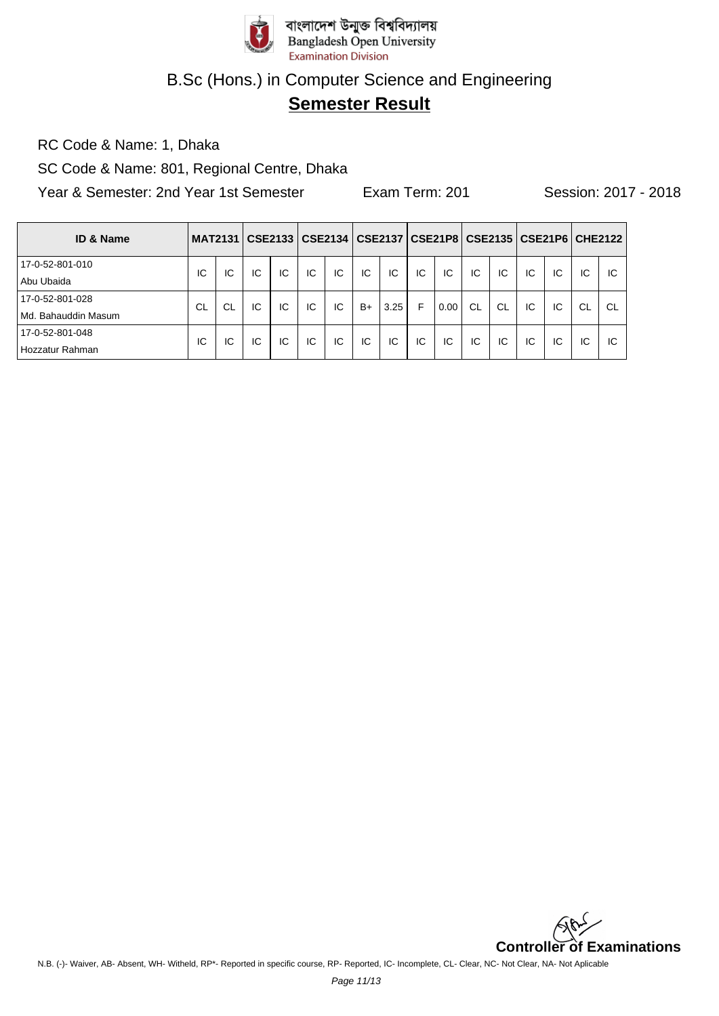

# **Semester Result**

RC Code & Name: 1, Dhaka

SC Code & Name: 801, Regional Centre, Dhaka

Year & Semester: 2nd Year 1st Semester Exam Term: 201 Session: 2017 - 2018

| <b>ID &amp; Name</b>     | <b>MAT2131</b> |    |    | CSE2133 | CSE2134 |    |      | <b>CSE2137</b> |    |      |           |           |    |    |           | CSE21P8   CSE2135   CSE21P6   CHE2122 |
|--------------------------|----------------|----|----|---------|---------|----|------|----------------|----|------|-----------|-----------|----|----|-----------|---------------------------------------|
| 17-0-52-801-010          | IC             | IC | IC | IC      | IC      | IC | IC   | IC             | IC | IC   | IC        | IC        | IC | IC | IC        | IС                                    |
| Abu Ubaida               |                |    |    |         |         |    |      |                |    |      |           |           |    |    |           |                                       |
| 17-0-52-801-028          | CL             | CL | IC | IC      | IC      | IC | $B+$ | 3.25           | F  | 0.00 | <b>CL</b> | <b>CL</b> | IC | IC | <b>CL</b> | <b>CL</b>                             |
| . Bahauddin Masum<br>Md. |                |    |    |         |         |    |      |                |    |      |           |           |    |    |           |                                       |
| 17-0-52-801-048          | IC             | IC | IC | IC      | IC      | IC | IC   | IC             | IC | IC   | IC        | IC        | IC | IC | IC        | ΙC                                    |
| Hozzatur Rahman          |                |    |    |         |         |    |      |                |    |      |           |           |    |    |           |                                       |

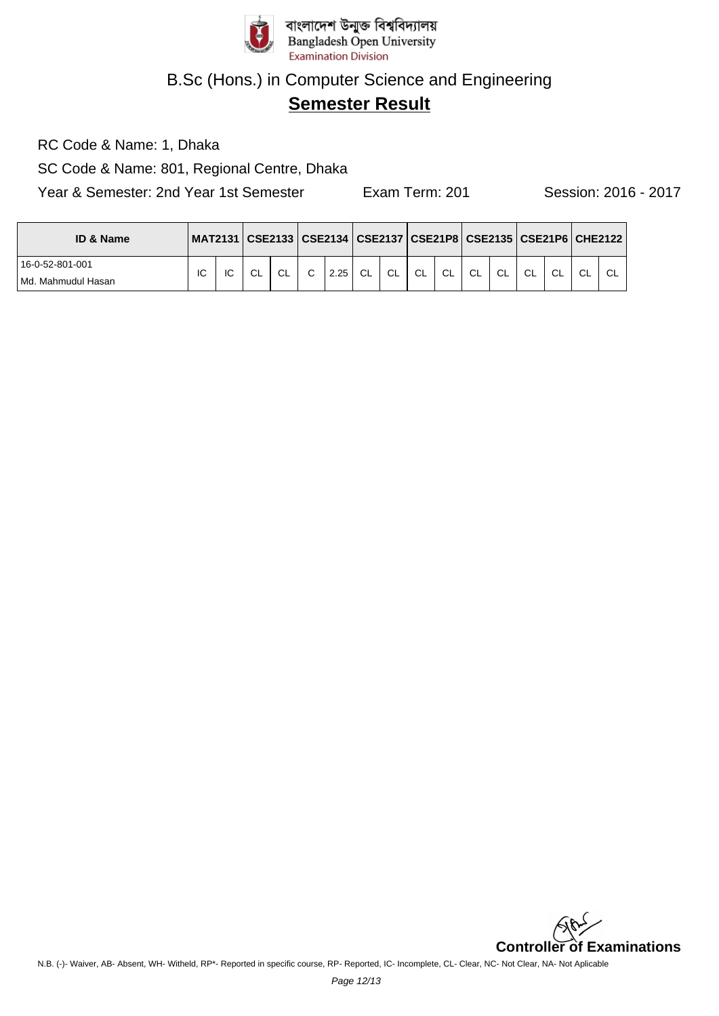

# **Semester Result**

RC Code & Name: 1, Dhaka

SC Code & Name: 801, Regional Centre, Dhaka

Year & Semester: 2nd Year 1st Semester Exam Term: 201 Session: 2016 - 2017

| <b>ID &amp; Name</b> |    |    |    |           |              |      |    |           |    |    |    |    |    |     |    | MAT2131   CSE2133   CSE2134   CSE2137   CSE21P8   CSE2135   CSE21P6   CHE2122 |
|----------------------|----|----|----|-----------|--------------|------|----|-----------|----|----|----|----|----|-----|----|-------------------------------------------------------------------------------|
| 16-0-52-801-001      | IC | IC | СL | <b>CL</b> | $\mathbf{C}$ | 2.25 | CL | <b>CL</b> | CL | CL | CL | CL | CL | CL. | CL | CL                                                                            |
| l Md. Mahmudul Hasan |    |    |    |           |              |      |    |           |    |    |    |    |    |     |    |                                                                               |